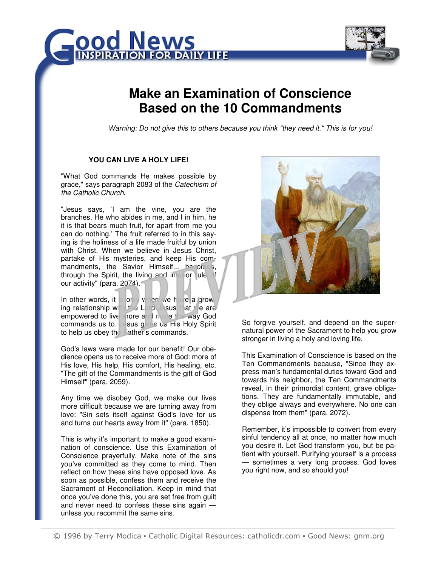



# **Make an Examination of Conscience Based on the 10 Commandments**

Warning: Do not give this to others because you think "they need it." This is for you!

#### **YOU CAN LIVE A HOLY LIFE!**

"What God commands He makes possible by grace," says paragraph 2083 of the Catechism of the Catholic Church.

"Jesus says, 'I am the vine, you are the branches. He who abides in me, and I in him, he it is that bears much fruit, for apart from me you can do nothing.' The fruit referred to in this saying is the holiness of a life made fruitful by union with Christ. When we believe in Jesus Christ, partake of His mysteries, and keep His commandments, the Savior Himself... becomes, through the Spirit, the living and interior rule of our activity" (para. 2074).

In other words, it is only when we have a growing relationship with the Lord Jesus that we are empowered to live more and more the way God commands us to. Jesus gives us His Holy Spirit to help us obey the Father's commands.

God's laws were made for our benefit! Our obedience opens us to receive more of God: more of His love, His help, His comfort, His healing, etc. "The gift of the Commandments is the gift of God Himself" (para. 2059).

Any time we disobey God, we make our lives more difficult because we are turning away from love: "Sin sets itself against God's love for us and turns our hearts away from it" (para. 1850).

This is why it's important to make a good examination of conscience. Use this Examination of Conscience prayerfully. Make note of the sins you've committed as they come to mind. Then reflect on how these sins have opposed love. As soon as possible, confess them and receive the Sacrament of Reconciliation. Keep in mind that once you've done this, you are set free from guilt and never need to confess these sins again unless you recommit the same sins.



So forgive yourself, and depend on the supernatural power of the Sacrament to help you grow stronger in living a holy and loving life.

This Examination of Conscience is based on the Ten Commandments because, "Since they express man's fundamental duties toward God and towards his neighbor, the Ten Commandments reveal, in their primordial content, grave obligations. They are fundamentally immutable, and they oblige always and everywhere. No one can dispense from them" (para. 2072).

Remember, it's impossible to convert from every sinful tendency all at once, no matter how much you desire it. Let God transform you, but be patient with yourself. Purifying yourself is a process — sometimes a very long process. God loves you right now, and so should you!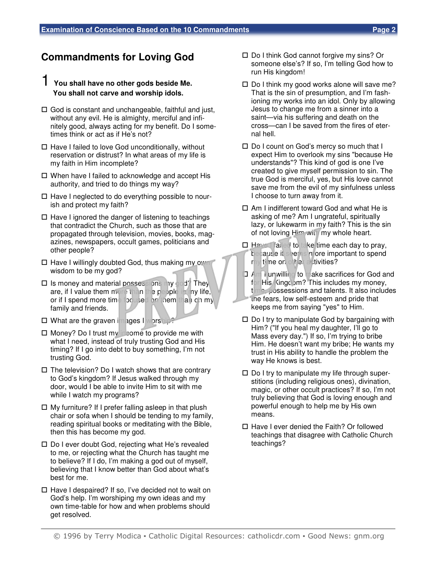### **Commandments for Loving God**

#### 1 **You shall have no other gods beside Me. You shall not carve and worship idols.**

- $\Box$  God is constant and unchangeable, faithful and just, without any evil. He is almighty, merciful and infinitely good, always acting for my benefit. Do I sometimes think or act as if He's not?
- $\Box$  Have I failed to love God unconditionally, without reservation or distrust? In what areas of my life is my faith in Him incomplete?
- □ When have I failed to acknowledge and accept His authority, and tried to do things my way?
- $\Box$  Have I neglected to do everything possible to nourish and protect my faith?
- $\Box$  Have I ignored the danger of listening to teachings that contradict the Church, such as those that are propagated through television, movies, books, magazines, newspapers, occult games, politicians and other people?
- $\Box$  Have I willingly doubted God, thus making my own wisdom to be my god?
- Is money and material possessions my god? They are, if I value them more than the people in my life, or if I spend more time focused on them than on my family and friends.
- $\square$  What are the graven images I worship?
- $\Box$  Money? Do I trust my income to provide me with what I need, instead of truly trusting God and His timing? If I go into debt to buy something, I'm not trusting God.
- $\Box$  The television? Do I watch shows that are contrary to God's kingdom? If Jesus walked through my door, would I be able to invite Him to sit with me while I watch my programs?
- $\Box$  My furniture? If I prefer falling asleep in that plush chair or sofa when I should be tending to my family, reading spiritual books or meditating with the Bible, then this has become my god.
- □ Do I ever doubt God, rejecting what He's revealed to me, or rejecting what the Church has taught me to believe? If I do, I'm making a god out of myself, believing that I know better than God about what's best for me.
- $\Box$  Have I despaired? If so, I've decided not to wait on God's help. I'm worshiping my own ideas and my own time-table for how and when problems should get resolved.
- □ Do I think God cannot forgive my sins? Or someone else's? If so, I'm telling God how to run His kingdom!
- $\Box$  Do I think my good works alone will save me? That is the sin of presumption, and I'm fashioning my works into an idol. Only by allowing Jesus to change me from a sinner into a saint—via his suffering and death on the cross—can I be saved from the fires of eternal hell.
- □ Do I count on God's mercy so much that I expect Him to overlook my sins "because He understands"? This kind of god is one I've created to give myself permission to sin. The true God is merciful, yes, but His love cannot save me from the evil of my sinfulness unless I choose to turn away from it.
- □ Am I indifferent toward God and what He is asking of me? Am I ungrateful, spiritually lazy, or lukewarm in my faith? This is the sin of not loving Him with my whole heart.
- □ Have I failed to take time each day to pray, because it seems more important to spend my time on other activities?
- **I** Am I unwilling to make sacrifices for God and for His Kingdom? This includes my money, time, possessions and talents. It also includes the fears, low self-esteem and pride that keeps me from saying "yes" to Him.
- $\square$  Do I try to manipulate God by bargaining with Him? ("If you heal my daughter, I'll go to Mass every day.") If so, I'm trying to bribe Him. He doesn't want my bribe; He wants my trust in His ability to handle the problem the way He knows is best.
- $\square$  Do I try to manipulate my life through superstitions (including religious ones), divination, magic, or other occult practices? If so, I'm not truly believing that God is loving enough and powerful enough to help me by His own means.
- $\Box$  Have I ever denied the Faith? Or followed teachings that disagree with Catholic Church teachings?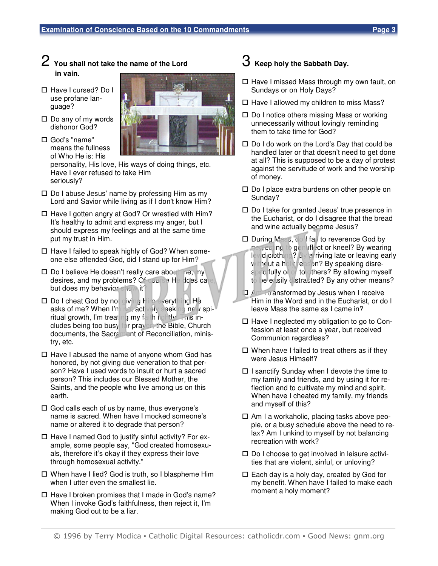#### 2 **You shall not take the name of the Lord in vain.**

- □ Have I cursed? Do I use profane language?
- $\square$  Do any of my words dishonor God?
- God's "name" means the fullness of Who He is: His

personality, His love, His ways of doing things, etc. Have I ever refused to take Him seriously?

- $\square$  Do I abuse Jesus' name by professing Him as my Lord and Savior while living as if I don't know Him?
- $\Box$  Have I gotten angry at God? Or wrestled with Him? It's healthy to admit and express my anger, but I should express my feelings and at the same time put my trust in Him.
- $\Box$  Have I failed to speak highly of God? When someone else offended God, did I stand up for Him?
- $\square$  Do I believe He doesn't really care about me, my desires, and my problems? Of course He does care but does my behavior show it?
- □ Do I cheat God by not giving Him everything He asks of me? When I'm not actively seeking new spiritual growth, I'm treating my faith lightly. This includes being too busy for prayer, the Bible, Church documents, the Sacrament of Reconciliation, ministry, etc.
- $\Box$  Have I abused the name of anyone whom God has honored, by not giving due veneration to that person? Have I used words to insult or hurt a sacred person? This includes our Blessed Mother, the Saints, and the people who live among us on this earth.
- God calls each of us by name, thus everyone's name is sacred. When have I mocked someone's name or altered it to degrade that person?
- $\Box$  Have I named God to justify sinful activity? For example, some people say, "God created homosexuals, therefore it's okay if they express their love through homosexual activity."
- When have I lied? God is truth, so I blaspheme Him when I utter even the smallest lie.
- $\Box$  Have I broken promises that I made in God's name? When I invoke God's faithfulness, then reject it, I'm making God out to be a liar.

## 3 **Keep holy the Sabbath Day.**

- $\Box$  Have I missed Mass through my own fault, on Sundays or on Holy Days?
- $\Box$  Have I allowed my children to miss Mass?
- $\Box$  Do I notice others missing Mass or working unnecessarily without lovingly reminding them to take time for God?
- □ Do I do work on the Lord's Day that could be handled later or that doesn't need to get done at all? This is supposed to be a day of protest against the servitude of work and the worship of money.
- $\square$  Do I place extra burdens on other people on Sunday?
- □ Do I take for granted Jesus' true presence in the Eucharist, or do I disagree that the bread and wine actually become Jesus?
- □ During Mass, do I fail to reverence God by neglecting to genuflect or kneel? By wearing lewd clothing? By a riving late or leaving early without a holy reason? By speaking disrespec fully of or to others? By allowing myself to be easily distracted? By any other means?
- $\Box$  Am I transformed by Jesus when I receive Him in the Word and in the Eucharist, or do I leave Mass the same as I came in?
- □ Have I neglected my obligation to go to Confession at least once a year, but received Communion regardless?
- $\Box$  When have I failed to treat others as if they were Jesus Himself?
- $\Box$  I sanctify Sunday when I devote the time to my family and friends, and by using it for reflection and to cultivate my mind and spirit. When have I cheated my family, my friends and myself of this?
- □ Am I a workaholic, placing tasks above people, or a busy schedule above the need to relax? Am I unkind to myself by not balancing recreation with work?
- $\square$  Do I choose to get involved in leisure activities that are violent, sinful, or unloving?
- $\Box$  Each day is a holy day, created by God for my benefit. When have I failed to make each moment a holy moment?

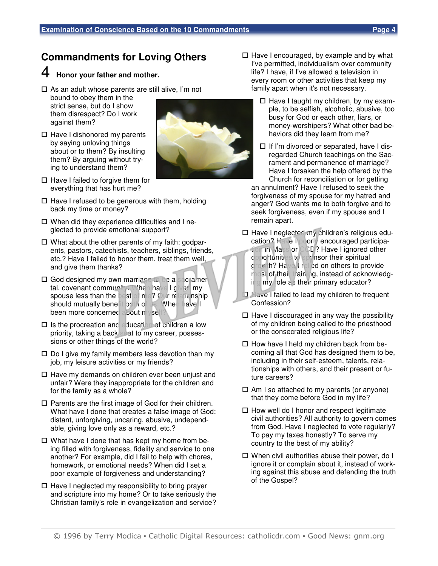### **Commandments for Loving Others**

## 4 **Honor your father and mother.**

- $\square$  As an adult whose parents are still alive, I'm not
- bound to obey them in the strict sense, but do I show them disrespect? Do I work against them?
- $\Box$  Have I dishonored my parents by saying unloving things about or to them? By insulting them? By arguing without trying to understand them?
- $\Box$  Have I failed to forgive them for everything that has hurt me?
- $\Box$  Have I refused to be generous with them, holding back my time or money?
- $\square$  When did they experience difficulties and I neglected to provide emotional support?
- $\Box$  What about the other parents of my faith: godparents, pastors, catechists, teachers, siblings, friends, etc.? Have I failed to honor them, treat them well, and give them thanks?
- God designed my own marriage to be a sacramental, covenant community: When have I given my spouse less than the best of me? Our relationship should mutually benefit both of us: When have I been more concerned about myself
- $\square$  Is the procreation and education of children a low priority, taking a back seat to my career, possessions or other things of the world?
- $\square$  Do I give my family members less devotion than my job, my leisure activities or my friends?
- $\Box$  Have my demands on children ever been unjust and unfair? Were they inappropriate for the children and for the family as a whole?
- $\square$  Parents are the first image of God for their children. What have I done that creates a false image of God: distant, unforgiving, uncaring, abusive, undependable, giving love only as a reward, etc.?
- $\Box$  What have I done that has kept my home from being filled with forgiveness, fidelity and service to one another? For example, did I fail to help with chores, homework, or emotional needs? When did I set a poor example of forgiveness and understanding?
- $\Box$  Have I neglected my responsibility to bring prayer and scripture into my home? Or to take seriously the Christian family's role in evangelization and service?
- $\Box$  Have I encouraged, by example and by what I've permitted, individualism over community life? I have, if I've allowed a television in every room or other activities that keep my family apart when it's not necessary.
	- $\Box$  Have I taught my children, by my example, to be selfish, alcoholic, abusive, too busy for God or each other, liars, or money-worshipers? What other bad behaviors did they learn from me?
	- $\Box$  If I'm divorced or separated, have I disregarded Church teachings on the Sacrament and permanence of marriage? Have I forsaken the help offered by the Church for reconciliation or for getting

an annulment? Have I refused to seek the forgiveness of my spouse for my hatred and anger? God wants me to both forgive and to seek forgiveness, even if my spouse and I remain apart.

- Have I neglected my children's religious education? Have I poorly encouraged participation in Mass or CCD? Have I ignored other opportunities to sponsor their spiritual growth? Have I relied on others to provide most of their training, instead of acknowledging my role as their primary educator?
- **I** Have I failed to lead my children to frequent Confession?
- $\Box$  Have I discouraged in any way the possibility of my children being called to the priesthood or the consecrated religious life?
- $\Box$  How have I held my children back from becoming all that God has designed them to be, including in their self-esteem, talents, relationships with others, and their present or future careers?
- $\Box$  Am I so attached to my parents (or anyone) that they come before God in my life?
- $\Box$  How well do I honor and respect legitimate civil authorities? All authority to govern comes from God. Have I neglected to vote regularly? To pay my taxes honestly? To serve my country to the best of my ability?
- □ When civil authorities abuse their power, do I ignore it or complain about it, instead of working against this abuse and defending the truth of the Gospel?

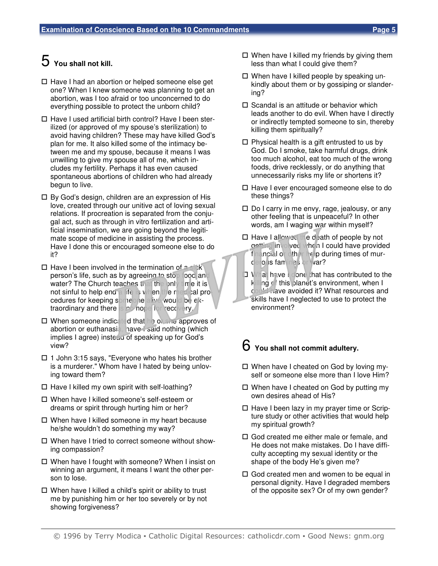# 5 **You shall not kill.**

- $\Box$  Have I had an abortion or helped someone else get one? When I knew someone was planning to get an abortion, was I too afraid or too unconcerned to do everything possible to protect the unborn child?
- $\Box$  Have I used artificial birth control? Have I been sterilized (or approved of my spouse's sterilization) to avoid having children? These may have killed God's plan for me. It also killed some of the intimacy between me and my spouse, because it means I was unwilling to give my spouse all of me, which includes my fertility. Perhaps it has even caused spontaneous abortions of children who had already begun to live.
- $\Box$  By God's design, children are an expression of His love, created through our unitive act of loving sexual relations. If procreation is separated from the conjugal act, such as through in vitro fertilization and artificial insemination, we are going beyond the legitimate scope of medicine in assisting the process. Have I done this or encouraged someone else to do it?
- $\Box$  Have I been involved in the termination of a sick person's life, such as by agreeing to stop food and water? The Church teaches that the only time it is not sinful to help end a life is when the medical procedures for keeping someone alive would be extraordinary and there is no hope for recovery.
- □ When someone indicated that he or she approves of abortion or euthanasid, have I said nothing (which implies I agree) instead of speaking up for God's view?
- $\Box$  1 John 3:15 says, "Everyone who hates his brother is a murderer." Whom have I hated by being unloving toward them?
- $\Box$  Have I killed my own spirit with self-loathing?
- When have I killed someone's self-esteem or dreams or spirit through hurting him or her?
- When have I killed someone in my heart because he/she wouldn't do something my way?
- □ When have I tried to correct someone without showing compassion?
- When have I fought with someone? When I insist on winning an argument, it means I want the other person to lose.
- $\Box$  When have I killed a child's spirit or ability to trust me by punishing him or her too severely or by not showing forgiveness?
- $\square$  When have I killed my friends by giving them less than what I could give them?
- □ When have I killed people by speaking unkindly about them or by gossiping or slandering?
- $\square$  Scandal is an attitude or behavior which leads another to do evil. When have I directly or indirectly tempted someone to sin, thereby killing them spiritually?
- $\Box$  Physical health is a gift entrusted to us by God. Do I smoke, take harmful drugs, drink too much alcohol, eat too much of the wrong foods, drive recklessly, or do anything that unnecessarily risks my life or shortens it?
- □ Have I ever encouraged someone else to do these things?
- $\square$  Do I carry in me envy, rage, jealousy, or any other feeling that is unpeaceful? In other words, am I waging war within myself?
- $\Box$  Have I allowed the death of people by not getting involved when I could have provided financial or other help during times of murderous famines or war?
- **J** What have I done that has contributed to the killing of this planet's environment, when I could have avoided it? What resources and skills have I neglected to use to protect the environment?

## 6 **You shall not commit adultery.**

- When have I cheated on God by loving myself or someone else more than I love Him?
- □ When have I cheated on God by putting my own desires ahead of His?
- $\Box$  Have I been lazy in my prayer time or Scripture study or other activities that would help my spiritual growth?
- □ God created me either male or female, and He does not make mistakes. Do I have difficulty accepting my sexual identity or the shape of the body He's given me?
- $\Box$  God created men and women to be equal in personal dignity. Have I degraded members of the opposite sex? Or of my own gender?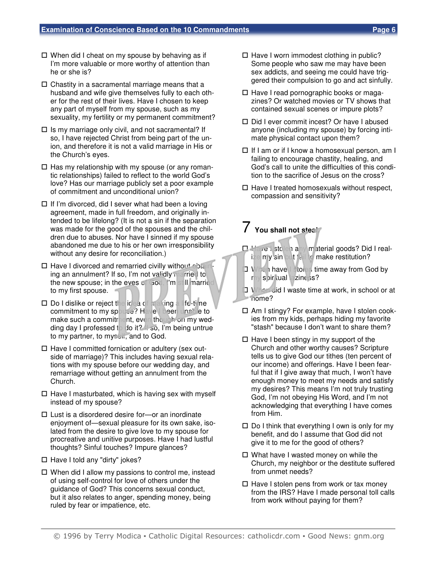- $\Box$  When did I cheat on my spouse by behaving as if I'm more valuable or more worthy of attention than he or she is?
- $\Box$  Chastity in a sacramental marriage means that a husband and wife give themselves fully to each other for the rest of their lives. Have I chosen to keep any part of myself from my spouse, such as my sexuality, my fertility or my permanent commitment?
- $\square$  Is my marriage only civil, and not sacramental? If so, I have rejected Christ from being part of the union, and therefore it is not a valid marriage in His or the Church's eyes.
- $\Box$  Has my relationship with my spouse (or any romantic relationships) failed to reflect to the world God's love? Has our marriage publicly set a poor example of commitment and unconditional union?
- $\Box$  If I'm divorced, did I sever what had been a loving agreement, made in full freedom, and originally intended to be lifelong? (It is not a sin if the separation was made for the good of the spouses and the children due to abuses. Nor have I sinned if my spouse abandoned me due to his or her own irresponsibility without any desire for reconciliation.)
- $\Box$  Have I divorced and remarried civilly without obtain ing an annulment? If so, I'm not validly married to the new spouse; in the eyes of God, I'm still married to my first spouse.
- $\square$  Do I dislike or reject the idea of making a life-time commitment to my spouse? Have I been unable to make such a commitment, even though on my wedding day I professed to do it? If so, I'm being untrue to my partner, to myself, and to God.
- $\Box$  Have I committed fornication or adultery (sex outside of marriage)? This includes having sexual relations with my spouse before our wedding day, and remarriage without getting an annulment from the Church.
- $\Box$  Have I masturbated, which is having sex with myself instead of my spouse?
- $\square$  Lust is a disordered desire for-or an inordinate enjoyment of—sexual pleasure for its own sake, isolated from the desire to give love to my spouse for procreative and unitive purposes. Have I had lustful thoughts? Sinful touches? Impure glances?
- □ Have I told any "dirty" jokes?
- $\Box$  When did I allow my passions to control me, instead of using self-control for love of others under the guidance of God? This concerns sexual conduct, but it also relates to anger, spending money, being ruled by fear or impatience, etc.
- $\Box$  Have I worn immodest clothing in public? Some people who saw me may have been sex addicts, and seeing me could have triggered their compulsion to go and act sinfully.
- $\Box$  Have I read pornographic books or magazines? Or watched movies or TV shows that contained sexual scenes or impure plots?
- □ Did I ever commit incest? Or have I abused anyone (including my spouse) by forcing intimate physical contact upon them?
- $\Box$  If I am or if I know a homosexual person, am I failing to encourage chastity, healing, and God's call to unite the difficulties of this condition to the sacrifice of Jesus on the cross?
- $\Box$  Have I treated homosexuals without respect, compassion and sensitivity?

### 7 **You shall not steal.**

- Have I stolen any material goods? Did I realize my sin but fail to make restitution?
- **J** When have I stolen time away from God by my spiritual laziness?
- When did I waste time at work, in school or at home?
- □ Am I stingy? For example, have I stolen cookies from my kids, perhaps hiding my favorite "stash" because I don't want to share them?
- $\Box$  Have I been stingy in my support of the Church and other worthy causes? Scripture tells us to give God our tithes (ten percent of our income) and offerings. Have I been fearful that if I give away that much, I won't have enough money to meet my needs and satisfy my desires? This means I'm not truly trusting God, I'm not obeying His Word, and I'm not acknowledging that everything I have comes from Him.
- $\Box$  Do I think that everything I own is only for my benefit, and do I assume that God did not give it to me for the good of others?
- □ What have I wasted money on while the Church, my neighbor or the destitute suffered from unmet needs?
- $\Box$  Have I stolen pens from work or tax money from the IRS? Have I made personal toll calls from work without paying for them?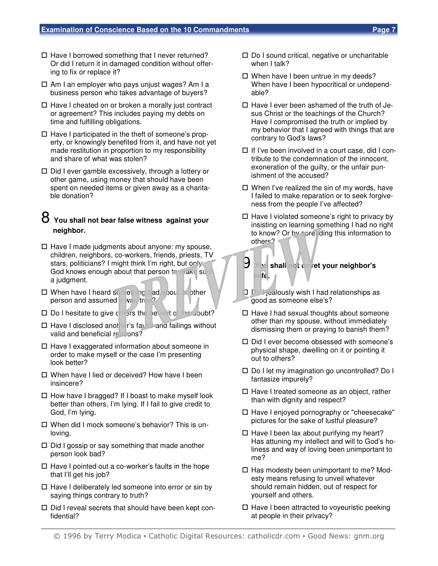- $\Box$  Have I borrowed something that I never returned? Or did I return it in damaged condition without offering to fix or replace it?
- $\Box$  Am I an employer who pays unjust wages? Am I a business person who takes advantage of buyers?
- $\Box$  Have I cheated on or broken a morally just contract or agreement? This includes paying my debts on time and fulfilling obligations.
- $\Box$  Have I participated in the theft of someone's property, or knowingly benefited from it, and have not yet made restitution in proportion to my responsibility and share of what was stolen?
- $\Box$  Did I ever gamble excessively, through a lottery or other game, using money that should have been spent on needed items or given away as a charitable donation?

#### 8 **You shall not bear false witness against your neighbor.**

- $\Box$  Have I made judgments about anyone: my spouse, children, neighbors, co-workers, friends, priests, TV stars, politicians? I might think I'm right, but only God knows enough about that person to make such a judgment.
- □ When have I heard something bad about another person and assumed it was true?
- $\square$  Do I hesitate to give choses the benefit of the doubt?
- $\Box$  Have I disclosed another's faults and failings without valid and beneficial reasons?
- $\Box$  Have I exaggerated information about someone in order to make myself or the case I'm presenting look better?
- When have I lied or deceived? How have I been insincere?
- $\Box$  How have I bragged? If I boast to make myself look better than others, I'm lying. If I fail to give credit to God, I'm lying.
- When did I mock someone's behavior? This is unloving.
- $\Box$  Did I gossip or say something that made another person look bad?
- $\Box$  Have I pointed out a co-worker's faults in the hope that I'll get his job?
- $\Box$  Have I deliberately led someone into error or sin by saying things contrary to truth?
- $\Box$  Did I reveal secrets that should have been kept confidential?
- $\square$  Do I sound critical, negative or uncharitable when I talk?
- $\Box$  When have I been untrue in my deeds? When have I been hypocritical or undependable?
- $\Box$  Have I ever been ashamed of the truth of Jesus Christ or the teachings of the Church? Have I compromised the truth or implied by my behavior that I agreed with things that are contrary to God's laws?
- $\Box$  If I've been involved in a court case, did I contribute to the condemnation of the innocent, exoneration of the guilty, or the unfair punishment of the accused?
- $\Box$  When I've realized the sin of my words, have I failed to make reparation or to seek forgiveness from the people I've affected?
- $\Box$  Have I violated someone's right to privacy by insisting on learning something I had no right to know? Or by spreading this information to others?
- 9 **You shall not covet your neighbor's wife.**
- $\Box$  Do i jealously wish I had relationships as good as someone else's?
- $\Box$  Have I had sexual thoughts about someone other than my spouse, without immediately dismissing them or praying to banish them?
- □ Did I ever become obsessed with someone's physical shape, dwelling on it or pointing it out to others?
- □ Do I let my imagination go uncontrolled? Do I fantasize impurely?
- $\Box$  Have I treated someone as an object, rather than with dignity and respect?
- □ Have I enjoyed pornography or "cheesecake" pictures for the sake of lustful pleasure?
- $\Box$  Have I been lax about purifying my heart? Has attuning my intellect and will to God's holiness and way of loving been unimportant to me?
- $\Box$  Has modesty been unimportant to me? Modesty means refusing to unveil whatever should remain hidden, out of respect for yourself and others.
- $\Box$  Have I been attracted to voyeuristic peeking at people in their privacy?